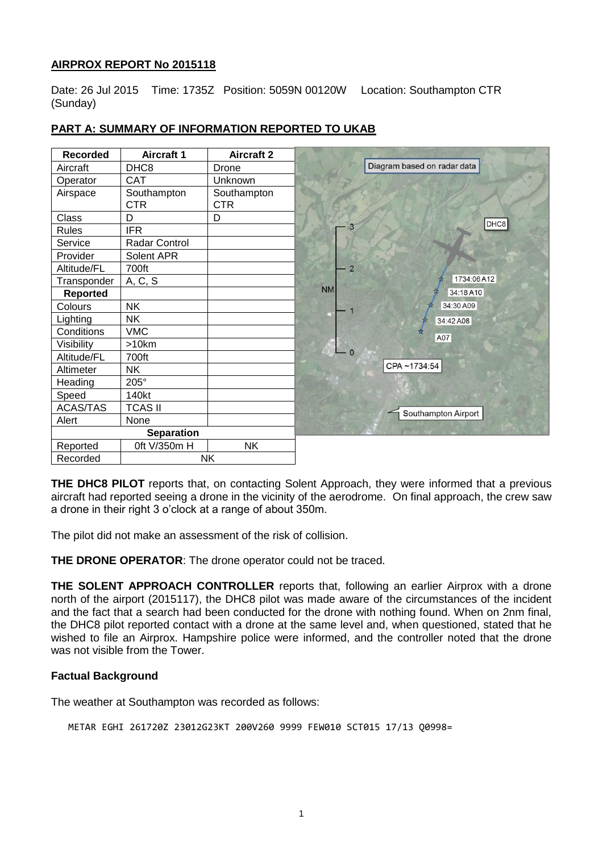# **AIRPROX REPORT No 2015118**

Date: 26 Jul 2015 Time: 1735Z Position: 5059N 00120W Location: Southampton CTR (Sunday)

| <b>Recorded</b>   | <b>Aircraft 1</b> | <b>Aircraft 2</b> |                             |
|-------------------|-------------------|-------------------|-----------------------------|
| Aircraft          | DHC8              | Drone             | Diagram based on radar data |
| Operator          | <b>CAT</b>        | Unknown           |                             |
| Airspace          | Southampton       | Southampton       |                             |
|                   | <b>CTR</b>        | <b>CTR</b>        |                             |
| <b>Class</b>      | D                 | D                 | DHC8                        |
| Rules             | <b>IFR</b>        |                   | 3                           |
| Service           | Radar Control     |                   |                             |
| Provider          | Solent APR        |                   |                             |
| Altitude/FL       | 700ft             |                   | $\overline{2}$              |
| Transponder       | A, C, S           |                   | 1734:06 A12                 |
| Reported          |                   |                   | <b>NM</b><br>34:18 A10      |
| Colours           | <b>NK</b>         |                   | 34:30 A09                   |
| Lighting          | <b>NK</b>         |                   | 34:42 A08                   |
| Conditions        | <b>VMC</b>        |                   | A07                         |
| Visibility        | >10km             |                   |                             |
| Altitude/FL       | 700ft             |                   |                             |
| Altimeter         | <b>NK</b>         |                   | CPA~1734:54                 |
| Heading           | $205^\circ$       |                   |                             |
| Speed             | 140kt             |                   |                             |
| <b>ACAS/TAS</b>   | <b>TCAS II</b>    |                   | Southampton Airport         |
| Alert             | None              |                   |                             |
| <b>Separation</b> |                   |                   |                             |
| Reported          | 0ft V/350m H      | <b>NK</b>         |                             |
| Recorded          | <b>NK</b>         |                   |                             |

# **PART A: SUMMARY OF INFORMATION REPORTED TO UKAB**

**THE DHC8 PILOT** reports that, on contacting Solent Approach, they were informed that a previous aircraft had reported seeing a drone in the vicinity of the aerodrome. On final approach, the crew saw a drone in their right 3 o'clock at a range of about 350m.

The pilot did not make an assessment of the risk of collision.

**THE DRONE OPERATOR:** The drone operator could not be traced.

**THE SOLENT APPROACH CONTROLLER** reports that, following an earlier Airprox with a drone north of the airport (2015117), the DHC8 pilot was made aware of the circumstances of the incident and the fact that a search had been conducted for the drone with nothing found. When on 2nm final, the DHC8 pilot reported contact with a drone at the same level and, when questioned, stated that he wished to file an Airprox. Hampshire police were informed, and the controller noted that the drone was not visible from the Tower.

### **Factual Background**

The weather at Southampton was recorded as follows:

METAR EGHI 261720Z 23012G23KT 200V260 9999 FEW010 SCT015 17/13 Q0998=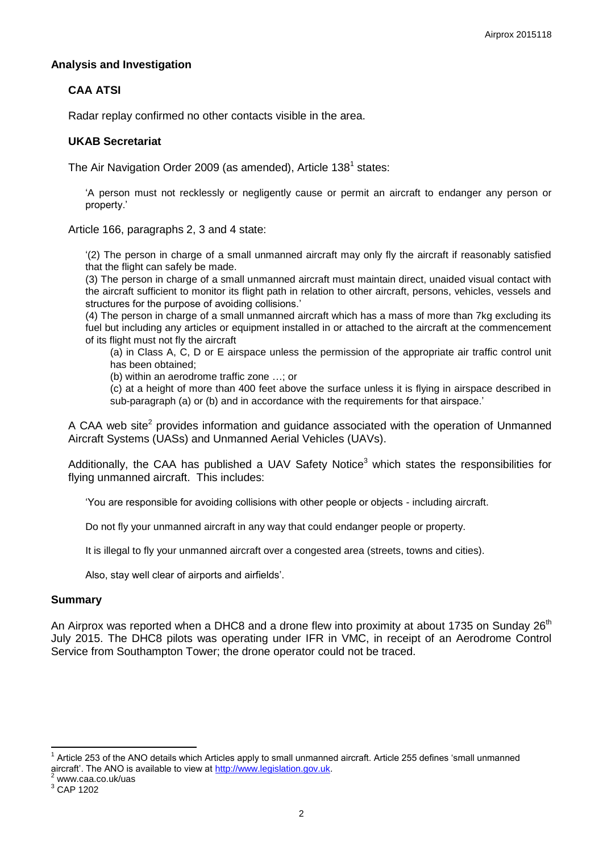### **Analysis and Investigation**

# **CAA ATSI**

Radar replay confirmed no other contacts visible in the area.

#### **UKAB Secretariat**

The Air Navigation Order 2009 (as amended), Article 138<sup>1</sup> states:

'A person must not recklessly or negligently cause or permit an aircraft to endanger any person or property.'

Article 166, paragraphs 2, 3 and 4 state:

'(2) The person in charge of a small unmanned aircraft may only fly the aircraft if reasonably satisfied that the flight can safely be made.

(3) The person in charge of a small unmanned aircraft must maintain direct, unaided visual contact with the aircraft sufficient to monitor its flight path in relation to other aircraft, persons, vehicles, vessels and structures for the purpose of avoiding collisions.'

(4) The person in charge of a small unmanned aircraft which has a mass of more than 7kg excluding its fuel but including any articles or equipment installed in or attached to the aircraft at the commencement of its flight must not fly the aircraft

(a) in Class A, C, D or E airspace unless the permission of the appropriate air traffic control unit has been obtained;

(b) within an aerodrome traffic zone …; or

(c) at a height of more than 400 feet above the surface unless it is flying in airspace described in sub-paragraph (a) or (b) and in accordance with the requirements for that airspace.'

A CAA web site<sup>2</sup> provides information and guidance associated with the operation of Unmanned Aircraft Systems (UASs) and Unmanned Aerial Vehicles (UAVs).

Additionally, the CAA has published a UAV Safety Notice<sup>3</sup> which states the responsibilities for flying unmanned aircraft. This includes:

'You are responsible for avoiding collisions with other people or objects - including aircraft.

Do not fly your unmanned aircraft in any way that could endanger people or property.

It is illegal to fly your unmanned aircraft over a congested area (streets, towns and cities).

Also, stay well clear of airports and airfields'.

#### **Summary**

An Airprox was reported when a DHC8 and a drone flew into proximity at about 1735 on Sunday  $26<sup>th</sup>$ July 2015. The DHC8 pilots was operating under IFR in VMC, in receipt of an Aerodrome Control Service from Southampton Tower; the drone operator could not be traced.

 $\overline{a}$ 

<sup>1</sup> Article 253 of the ANO details which Articles apply to small unmanned aircraft. Article 255 defines 'small unmanned aircraft'. The ANO is available to view at [http://www.legislation.gov.uk.](http://www.legislation.gov.uk/)

www.caa.co.uk/uas

<sup>3</sup> CAP 1202